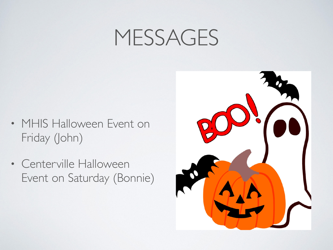#### MESSAGES

- MHIS Halloween Event on Friday (John)
- Centerville Halloween Event on Saturday (Bonnie)

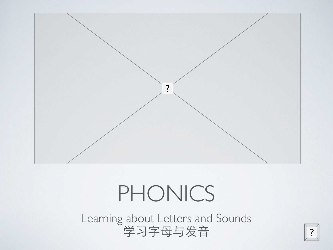

## PHONICS

Learning about Letters and Sounds<br>学习字母与发音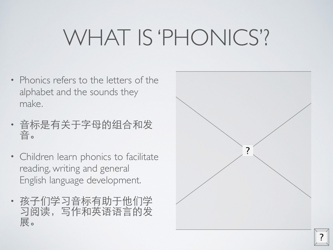## WHAT IS 'PHONICS'?

- Phonics refers to the letters of the alphabet and the sounds they make.
- ⾳标是有关于字⺟的组合和发 音。
- Children learn phonics to facilitate reading, writing and general English language development.
- 孩子们学习音标有助于他们学 习阅读,写作和英语语言的发 展。

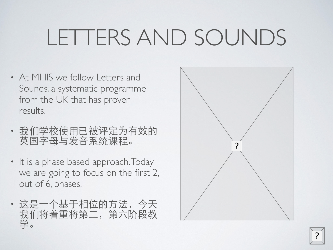## LETTERS AND SOUNDS

- At MHIS we follow Letters and Sounds, a systematic programme from the UK that has proven results.
- 我们学校使⽤已被评定为有效的 英国字母与发音系统课程。
- It is a phase based approach. Today we are going to focus on the first 2, out of 6, phases.
- 这是一个基于相位的方法, 今天 我们将着重将第二,第六阶段教 学。

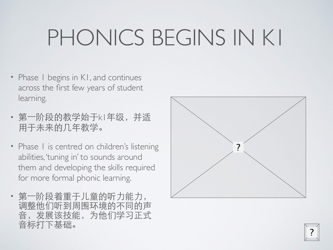## PHONICS BEGINS IN K1

- Phase I begins in KI, and continues across the first few years of student learning.
- · 第一阶段的教学始于kl年级, 并适 用于未来的几年教学。
- Phase I is centred on children's listening abilities, 'tuning in' to sounds around them and developing the skills required for more formal phonic learning.
- 第一阶段着重于儿童的听力能力, 调整他们听到周围环境的不同的声 ⾳,发展该技能,为他们学习正式 ⾳标打下基础。

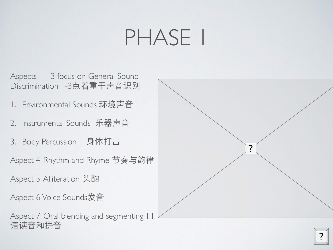## PHASE 1

Aspects 1 - 3 focus on General Sound Discrimination 1-3点着重于声音识别

- 1. Environmental Sounds 环境声音
- 2. Instrumental Sounds 乐器声音
- 3. Body Percussion 身体打击

Aspect 4: Rhythm and Rhyme 节奏与韵律

Aspect 5: Alliteration 头韵

Aspect 6: Voice Sounds发音

Aspect 7: Oral blending and segmenting  $\Box$ 语读音和拼音

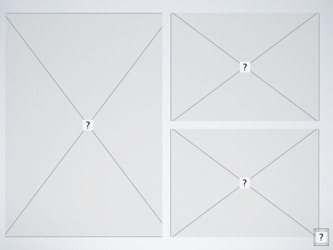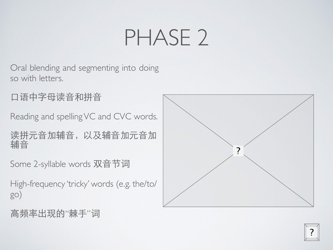### PHASE 2

Oral blending and segmenting into doing so with letters.

```
口语中字母读音和拼音
```
Reading and spelling VC and CVC words.

读拼元音加辅音,以及辅音加元音加 辅音

Some 2-syllable words 双音节词

High-frequency 'tricky' words (e.g. the/to/ go)

 $\overline{?}$ 

高频率出现的"棘手"词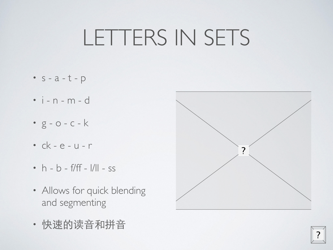#### LETTERS IN SETS

- $\cdot$  s-a-t-p
- $\cdot$  i-n-m-d
- $g o c k$
- $\cdot$  ck e u r
- $h b f/ff |/|| ss$
- Allows for quick blending and segmenting
- 快速的读音和拼音

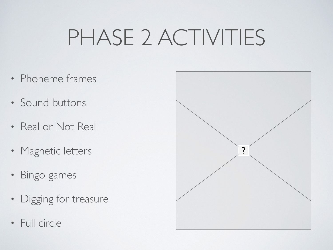## PHASE 2 ACTIVITIES

- Phoneme frames
- Sound buttons
- Real or Not Real
- Magnetic letters
- Bingo games
- Digging for treasure
- Full circle

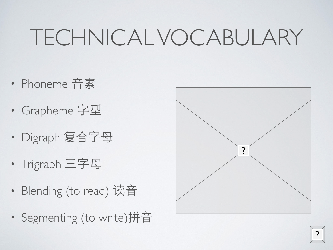## TECHNICAL VOCABULARY

- Phoneme 音素
- Grapheme 字型
- · Digraph 复合字母
- Trigraph 三字母
- Blending (to read) 读音
- Segmenting (to write)拼音

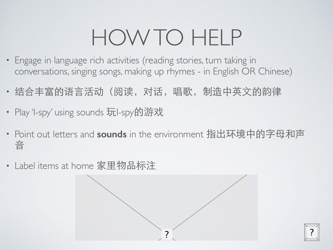# HOW TO HELP

- Engage in language rich activities (reading stories, turn taking in conversations, singing songs, making up rhymes - in English OR Chinese)
- 结合丰富的语⾔活动(阅读,对话,唱歌,制造中英⽂的韵律
- Play 'I-spy' using sounds 玩I-spy的游戏
- Point out letters and **sounds** in the environment 指出环境中的字⺟和声 音
- Label items at home 家里物品标注

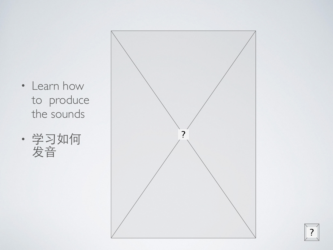- Learn how to produce the sounds
- 学习如何 发音